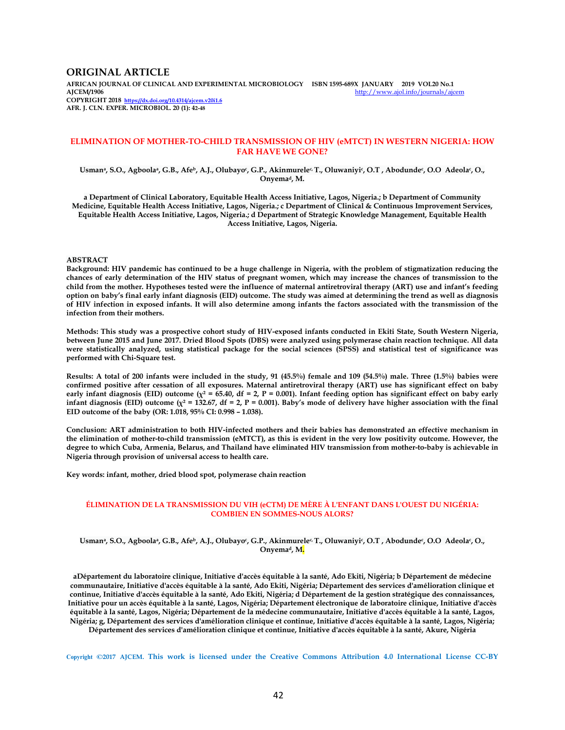### **ORIGINAL ARTICLE**

**AFRICAN JOURNAL OF CLINICAL AND EXPERIMENTAL MICROBIOLOGY ISBN 1595-689X JANUARY 2019 VOL20 No.1**  http://www.ajol.info/journals/ajcem **COPYRIGHT 2018 https://dx.doi.org/10.4314/ajcem.v20i1.6 AFR. J. CLN. EXPER. MICROBIOL. 20 (1): 42-48**

### **ELIMINATION OF MOTHER-TO-CHILD TRANSMISSION OF HIV (eMTCT) IN WESTERN NIGERIA: HOW FAR HAVE WE GONE?**

Usmanª, S.O., Agboolaª, G.B., Afeʰ, A.J., Olubayoʿ, G.P., Akinmureleʿ T., Oluwaniyiʿ, O.T , Abodundeʿ, O.O Adeolaʿ, O., **Onyemad, M.** 

**a Department of Clinical Laboratory, Equitable Health Access Initiative, Lagos, Nigeria.; b Department of Community Medicine, Equitable Health Access Initiative, Lagos, Nigeria.; c Department of Clinical & Continuous Improvement Services, Equitable Health Access Initiative, Lagos, Nigeria.; d Department of Strategic Knowledge Management, Equitable Health Access Initiative, Lagos, Nigeria.** 

#### **ABSTRACT**

**Background: HIV pandemic has continued to be a huge challenge in Nigeria, with the problem of stigmatization reducing the chances of early determination of the HIV status of pregnant women, which may increase the chances of transmission to the child from the mother. Hypotheses tested were the influence of maternal antiretroviral therapy (ART) use and infant's feeding option on baby's final early infant diagnosis (EID) outcome. The study was aimed at determining the trend as well as diagnosis of HIV infection in exposed infants. It will also determine among infants the factors associated with the transmission of the infection from their mothers.** 

**Methods: This study was a prospective cohort study of HIV-exposed infants conducted in Ekiti State, South Western Nigeria, between June 2015 and June 2017. Dried Blood Spots (DBS) were analyzed using polymerase chain reaction technique. All data were statistically analyzed, using statistical package for the social sciences (SPSS) and statistical test of significance was performed with Chi-Square test.** 

**Results: A total of 200 infants were included in the study, 91 (45.5%) female and 109 (54.5%) male. Three (1.5%) babies were confirmed positive after cessation of all exposures. Maternal antiretroviral therapy (ART) use has significant effect on baby**  early infant diagnosis (EID) outcome ( $\chi^2$  = 65.40, df = 2, P = 0.001). Infant feeding option has significant effect on baby early infant diagnosis (EID) outcome ( $\chi^2$  = 132.67, df = 2, P = 0.001). Baby's mode of delivery have higher association with the final **EID outcome of the baby (OR: 1.018, 95% CI: 0.998 – 1.038).** 

**Conclusion: ART administration to both HIV-infected mothers and their babies has demonstrated an effective mechanism in the elimination of mother-to-child transmission (eMTCT), as this is evident in the very low positivity outcome. However, the degree to which Cuba, Armenia, Belarus, and Thailand have eliminated HIV transmission from mother-to-baby is achievable in Nigeria through provision of universal access to health care.** 

**Key words: infant, mother, dried blood spot, polymerase chain reaction** 

### **ÉLIMINATION DE LA TRANSMISSION DU VIH (eCTM) DE MÈRE À L'ENFANT DANS L'OUEST DU NIGÉRIA: COMBIEN EN SOMMES-NOUS ALORS?**

Usmanª, S.O., Agboolaª, G.B., Afeʰ, A.J., Olubayo¢, G.P., Akinmurele¤ T., Oluwaniyi¢, O.T , Abodunde¢, O.O Adeola¢, O., **Onyemad, M.** 

**aDépartement du laboratoire clinique, Initiative d'accès équitable à la santé, Ado Ekiti, Nigéria; b Département de médecine communautaire, Initiative d'accès équitable à la santé, Ado Ekiti, Nigéria; Département des services d'amélioration clinique et continue, Initiative d'accès équitable à la santé, Ado Ekiti, Nigéria; d Département de la gestion stratégique des connaissances, Initiative pour un accès équitable à la santé, Lagos, Nigéria; Département électronique de laboratoire clinique, Initiative d'accès équitable à la santé, Lagos, Nigéria; Département de la médecine communautaire, Initiative d'accès équitable à la santé, Lagos, Nigéria; g, Département des services d'amélioration clinique et continue, Initiative d'accès équitable à la santé, Lagos, Nigéria;** 

**Département des services d'amélioration clinique et continue, Initiative d'accès équitable à la santé, Akure, Nigéria** 

**Copyright ©2017 AJCEM. This work is licensed under the Creative Commons Attribution 4.0 International License CC-BY**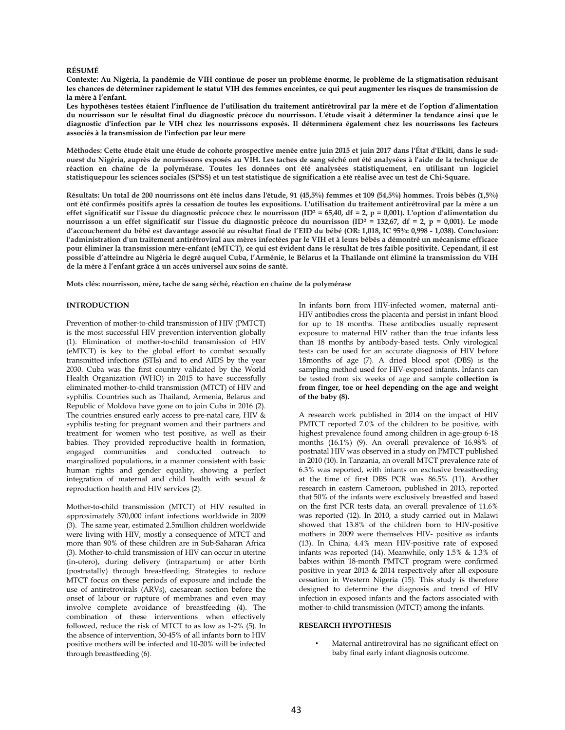#### **RÉSUMÉ**

**Contexte: Au Nigéria, la pandémie de VIH continue de poser un problème énorme, le problème de la stigmatisation réduisant les chances de déterminer rapidement le statut VIH des femmes enceintes, ce qui peut augmenter les risques de transmission de la mère à l'enfant.** 

**Les hypothèses testées étaient l'influence de l'utilisation du traitement antirétroviral par la mère et de l'option d'alimentation du nourrisson sur le résultat final du diagnostic précoce du nourrisson. L'étude visait à déterminer la tendance ainsi que le diagnostic d'infection par le VIH chez les nourrissons exposés. Il déterminera également chez les nourrissons les facteurs associés à la transmission de l'infection par leur mere** 

**Méthodes: Cette étude était une étude de cohorte prospective menée entre juin 2015 et juin 2017 dans l'État d'Ekiti, dans le sudouest du Nigéria, auprès de nourrissons exposés au VIH. Les taches de sang séché ont été analysées à l'aide de la technique de réaction en chaîne de la polymérase. Toutes les données ont été analysées statistiquement, en utilisant un logiciel statistiquepour les sciences sociales (SPSS) et un test statistique de signification a été réalisé avec un test de Chi-Square.** 

**Résultats: Un total de 200 nourrissons ont été inclus dans l'étude, 91 (45,5%) femmes et 109 (54,5%) hommes. Trois bébés (1,5%) ont été confirmés positifs après la cessation de toutes les expositions. L'utilisation du traitement antirétroviral par la mère a un effet significatif sur l'issue du diagnostic précoce chez le nourrisson (ID² = 65,40, df = 2, p = 0,001). L'option d'alimentation du**  nourrisson a un effet significatif sur l'issue du diagnostic précoce du nourrisson (ID<sup>2</sup> = 132,67, df = 2, p = 0,001). Le mode **d'accouchement du bébé est davantage associé au résultat final de l'EID du bébé (OR: 1,018, IC 95%: 0,998 - 1,038). Conclusion: l'administration d'un traitement antirétroviral aux mères infectées par le VIH et à leurs bébés a démontré un mécanisme efficace pour éliminer la transmission mère-enfant (eMTCT), ce qui est évident dans le résultat de très faible positivité. Cependant, il est possible d'atteindre au Nigéria le degré auquel Cuba, l'Arménie, le Bélarus et la Thaïlande ont éliminé la transmission du VIH de la mère à l'enfant grâce à un accès universel aux soins de santé.** 

**Mots clés: nourrisson, mère, tache de sang séché, réaction en chaîne de la polymérase** 

### **INTRODUCTION**

Prevention of mother-to-child transmission of HIV (PMTCT) is the most successful HIV prevention intervention globally (1). Elimination of mother-to-child transmission of HIV (eMTCT) is key to the global effort to combat sexually transmitted infections (STIs) and to end AIDS by the year 2030. Cuba was the first country validated by the World Health Organization (WHO) in 2015 to have successfully eliminated mother-to-child transmission (MTCT) of HIV and syphilis. Countries such as Thailand, Armenia, Belarus and Republic of Moldova have gone on to join Cuba in 2016 (2). The countries ensured early access to pre-natal care, HIV & syphilis testing for pregnant women and their partners and treatment for women who test positive, as well as their babies. They provided reproductive health in formation, engaged communities and conducted outreach to marginalized populations, in a manner consistent with basic human rights and gender equality, showing a perfect integration of maternal and child health with sexual & reproduction health and HIV services (2).

Mother-to-child transmission (MTCT) of HIV resulted in approximately 370,000 infant infections worldwide in 2009 (3). The same year, estimated 2.5million children worldwide were living with HIV, mostly a consequence of MTCT and more than 90% of these children are in Sub-Saharan Africa (3). Mother-to-child transmission of HIV can occur in uterine (in-utero), during delivery (intrapartum) or after birth (postnatally) through breastfeeding. Strategies to reduce MTCT focus on these periods of exposure and include the use of antiretrovirals (ARVs), caesarean section before the onset of labour or rupture of membranes and even may involve complete avoidance of breastfeeding (4). The combination of these interventions when effectively followed, reduce the risk of MTCT to as low as 1-2% (5). In the absence of intervention, 30-45% of all infants born to HIV positive mothers will be infected and 10-20% will be infected through breastfeeding (6).

In infants born from HIV-infected women, maternal anti-HIV antibodies cross the placenta and persist in infant blood for up to 18 months. These antibodies usually represent exposure to maternal HIV rather than the true infants less than 18 months by antibody-based tests. Only virological tests can be used for an accurate diagnosis of HIV before 18months of age (7). A dried blood spot (DBS) is the sampling method used for HIV-exposed infants. Infants can be tested from six weeks of age and sample **collection is from finger, toe or heel depending on the age and weight of the baby (8).** 

A research work published in 2014 on the impact of HIV PMTCT reported 7.0% of the children to be positive, with highest prevalence found among children in age-group 6-18 months (16.1%) (9). An overall prevalence of 16.98% of postnatal HIV was observed in a study on PMTCT published in 2010 (10). In Tanzania, an overall MTCT prevalence rate of 6.3% was reported, with infants on exclusive breastfeeding at the time of first DBS PCR was 86.5% (11). Another research in eastern Cameroon, published in 2013, reported that 50% of the infants were exclusively breastfed and based on the first PCR tests data, an overall prevalence of 11.6% was reported (12). In 2010, a study carried out in Malawi showed that 13.8% of the children born to HIV-positive mothers in 2009 were themselves HIV- positive as infants (13). In China, 4.4% mean HIV-positive rate of exposed infants was reported (14). Meanwhile, only 1.5% & 1.3% of babies within 18-month PMTCT program were confirmed positive in year 2013 & 2014 respectively after all exposure cessation in Western Nigeria (15). This study is therefore designed to determine the diagnosis and trend of HIV infection in exposed infants and the factors associated with mother-to-child transmission (MTCT) among the infants.

### **RESEARCH HYPOTHESIS**

Maternal antiretroviral has no significant effect on baby final early infant diagnosis outcome.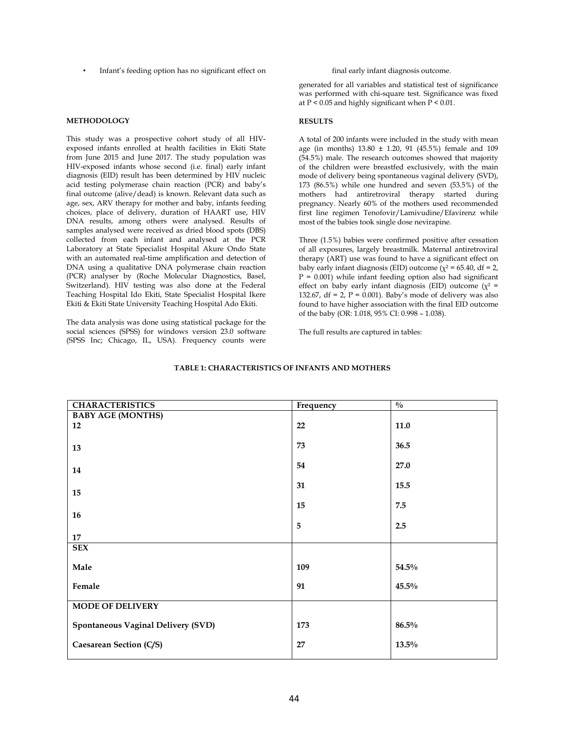Infant's feeding option has no significant effect on final early infant diagnosis outcome.

### **METHODOLOGY**

This study was a prospective cohort study of all HIVexposed infants enrolled at health facilities in Ekiti State from June 2015 and June 2017. The study population was HIV-exposed infants whose second (i.e. final) early infant diagnosis (EID) result has been determined by HIV nucleic acid testing polymerase chain reaction (PCR) and baby's final outcome (alive/dead) is known. Relevant data such as age, sex, ARV therapy for mother and baby, infants feeding choices, place of delivery, duration of HAART use, HIV DNA results, among others were analysed. Results of samples analysed were received as dried blood spots (DBS) collected from each infant and analysed at the PCR Laboratory at State Specialist Hospital Akure Ondo State with an automated real-time amplification and detection of DNA using a qualitative DNA polymerase chain reaction (PCR) analyser by (Roche Molecular Diagnostics, Basel, Switzerland). HIV testing was also done at the Federal Teaching Hospital Ido Ekiti, State Specialist Hospital Ikere Ekiti & Ekiti State University Teaching Hospital Ado Ekiti.

The data analysis was done using statistical package for the social sciences (SPSS) for windows version 23.0 software (SPSS Inc; Chicago, IL, USA). Frequency counts were

generated for all variables and statistical test of significance was performed with chi-square test. Significance was fixed at P < 0.05 and highly significant when P < 0.01.

#### **RESULTS**

A total of 200 infants were included in the study with mean age (in months) 13.80 ± 1.20, 91 (45.5%) female and 109 (54.5%) male. The research outcomes showed that majority of the children were breastfed exclusively, with the main mode of delivery being spontaneous vaginal delivery (SVD), 173 (86.5%) while one hundred and seven (53.5%) of the mothers had antiretroviral therapy started during pregnancy. Nearly 60% of the mothers used recommended first line regimen Tenofovir/Lamivudine/Efavirenz while most of the babies took single dose nevirapine.

Three (1.5%) babies were confirmed positive after cessation of all exposures, largely breastmilk. Maternal antiretroviral therapy (ART) use was found to have a significant effect on baby early infant diagnosis (EID) outcome ( $\chi^2$  = 65.40, df = 2,  $P = 0.001$ ) while infant feeding option also had significant effect on baby early infant diagnosis (EID) outcome ( $\chi^2$  = 132.67, df = 2,  $P = 0.001$ ). Baby's mode of delivery was also found to have higher association with the final EID outcome of the baby (OR: 1.018, 95% CI: 0.998 – 1.038).

The full results are captured in tables:

| <b>CHARACTERISTICS</b>                    | Frequency      | $\frac{0}{0}$ |  |
|-------------------------------------------|----------------|---------------|--|
| <b>BABY AGE (MONTHS)</b>                  |                |               |  |
| 12                                        | 22             | $11.0$        |  |
|                                           |                |               |  |
|                                           | 73             | 36.5          |  |
| 13                                        |                |               |  |
|                                           |                |               |  |
| 14                                        | 54             | 27.0          |  |
|                                           |                |               |  |
|                                           | 31             | 15.5          |  |
| 15                                        |                |               |  |
|                                           | 15             | 7.5           |  |
| 16                                        |                |               |  |
|                                           | $\overline{5}$ | 2.5           |  |
| 17                                        |                |               |  |
| <b>SEX</b>                                |                |               |  |
|                                           |                |               |  |
| Male                                      | 109            | 54.5%         |  |
|                                           |                |               |  |
| Female                                    | 91             | 45.5%         |  |
|                                           |                |               |  |
| <b>MODE OF DELIVERY</b>                   |                |               |  |
|                                           |                |               |  |
|                                           |                |               |  |
| <b>Spontaneous Vaginal Delivery (SVD)</b> | 173            | 86.5%         |  |
|                                           |                |               |  |
| Caesarean Section (C/S)                   | 27             | $13.5\%$      |  |
|                                           |                |               |  |

#### **TABLE 1: CHARACTERISTICS OF INFANTS AND MOTHERS**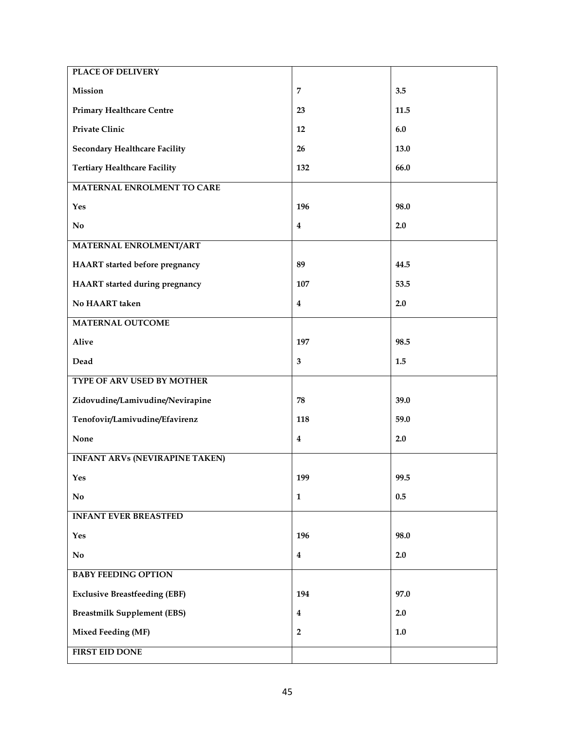| <b>PLACE OF DELIVERY</b>              |                         |         |
|---------------------------------------|-------------------------|---------|
| Mission                               | $\overline{7}$          | 3.5     |
| <b>Primary Healthcare Centre</b>      | 23                      | 11.5    |
| Private Clinic                        | 12                      | 6.0     |
| <b>Secondary Healthcare Facility</b>  | 26                      | 13.0    |
| <b>Tertiary Healthcare Facility</b>   | 132                     | 66.0    |
| MATERNAL ENROLMENT TO CARE            |                         |         |
| Yes                                   | 196                     | 98.0    |
| N <sub>0</sub>                        | $\bf{4}$                | 2.0     |
| <b>MATERNAL ENROLMENT/ART</b>         |                         |         |
| HAART started before pregnancy        | 89                      | 44.5    |
| <b>HAART</b> started during pregnancy | 107                     | 53.5    |
| No HAART taken                        | $\overline{\mathbf{4}}$ | 2.0     |
| <b>MATERNAL OUTCOME</b>               |                         |         |
| <b>Alive</b>                          | 197                     | 98.5    |
| Dead                                  | 3                       | 1.5     |
| TYPE OF ARV USED BY MOTHER            |                         |         |
| Zidovudine/Lamivudine/Nevirapine      | 78                      | 39.0    |
| Tenofovir/Lamivudine/Efavirenz        | 118                     | 59.0    |
| None                                  | $\bf{4}$                | 2.0     |
| <b>INFANT ARVs (NEVIRAPINE TAKEN)</b> |                         |         |
| Yes                                   | 199                     | 99.5    |
| $\mathbf{No}$                         | $\mathbf{1}$            | 0.5     |
| <b>INFANT EVER BREASTFED</b>          |                         |         |
| Yes                                   | 196                     | 98.0    |
| $\mathbf{N}\mathbf{o}$                | $\bf{4}$                | 2.0     |
| <b>BABY FEEDING OPTION</b>            |                         |         |
| <b>Exclusive Breastfeeding (EBF)</b>  | 194                     | 97.0    |
| <b>Breastmilk Supplement (EBS)</b>    | $\bf{4}$                | 2.0     |
| <b>Mixed Feeding (MF)</b>             | $\boldsymbol{2}$        | $1.0\,$ |
| <b>FIRST EID DONE</b>                 |                         |         |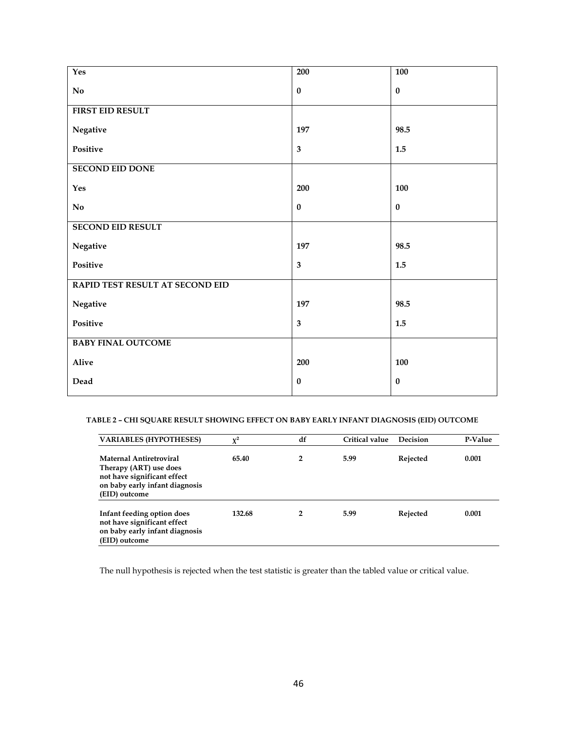| Yes                             | 200                     | <b>100</b> |
|---------------------------------|-------------------------|------------|
| $\mathbf{N}\mathbf{o}$          | $\pmb{0}$               | $\bf{0}$   |
| <b>FIRST EID RESULT</b>         |                         |            |
| Negative                        | 197                     | 98.5       |
| Positive                        | $\mathbf{3}$            | $1.5\,$    |
| <b>SECOND EID DONE</b>          |                         |            |
| Yes                             | 200                     | 100        |
| $\mathbf{N}\mathbf{o}$          | $\bf{0}$                | $\bf{0}$   |
| <b>SECOND EID RESULT</b>        |                         |            |
| Negative                        | 197                     | 98.5       |
| Positive                        | $\overline{\mathbf{3}}$ | 1.5        |
| RAPID TEST RESULT AT SECOND EID |                         |            |
| Negative                        | 197                     | 98.5       |
| Positive                        | $\mathbf{3}$            | 1.5        |
| <b>BABY FINAL OUTCOME</b>       |                         |            |
| Alive                           | 200                     | 100        |
| Dead                            | $\pmb{0}$               | $\pmb{0}$  |

# **TABLE 2 – CHI SQUARE RESULT SHOWING EFFECT ON BABY EARLY INFANT DIAGNOSIS (EID) OUTCOME**

| <b>VARIABLES (HYPOTHESES)</b>                                                                                                              | $v^2$  | df | Critical value | <b>Decision</b> | P-Value |
|--------------------------------------------------------------------------------------------------------------------------------------------|--------|----|----------------|-----------------|---------|
| <b>Maternal Antiretroviral</b><br>Therapy (ART) use does<br>not have significant effect<br>on baby early infant diagnosis<br>(EID) outcome | 65.40  | 2  | 5.99           | Rejected        | 0.001   |
| Infant feeding option does<br>not have significant effect<br>on baby early infant diagnosis<br>(EID) outcome                               | 132.68 | 2  | 5.99           | Rejected        | 0.001   |

The null hypothesis is rejected when the test statistic is greater than the tabled value or critical value.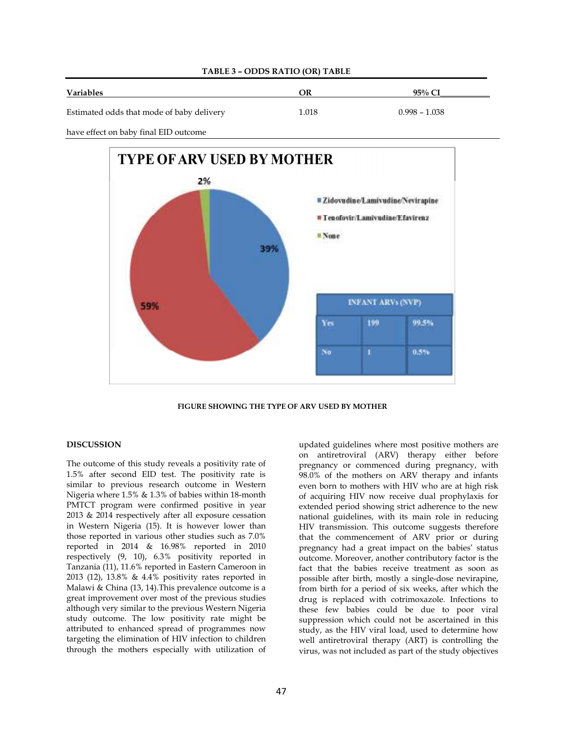

## **TABLE 3 – ODDS RATIO (OR) TABLE**

have effect on baby final EID outcome



**FIGURE SHOWING THE TYPE OF ARV USED BY MOTHER** 

# **DISCUSSION**

The outcome of this study reveals a positivity rate of 1.5% after second EID test. The positivity rate is similar to previous research outcome in Western Nigeria where 1.5% & 1.3% of babies within 18-month PMTCT program were confirmed positive in year 2013 & 2014 respectively after all exposure cessation in Western Nigeria (15). It is however lower than those reported in various other studies such as 7.0% reported in 2014 & 16.98% reported in 2010 respectively (9, 10), 6.3% positivity reported in Tanzania (11), 11.6% reported in Eastern Cameroon in 2013 (12), 13.8% & 4.4% positivity rates reported in Malawi & China (13, 14).This prevalence outcome is a great improvement over most of the previous studies although very similar to the previous Western Nigeria study outcome. The low positivity rate might be attributed to enhanced spread of programmes now targeting the elimination of HIV infection to children through the mothers especially with utilization of updated guidelines where most positive mothers are on antiretroviral (ARV) therapy either before pregnancy or commenced during pregnancy, with 98.0% of the mothers on ARV therapy and infants even born to mothers with HIV who are at high risk of acquiring HIV now receive dual prophylaxis for extended period showing strict adherence to the new national guidelines, with its main role in reducing HIV transmission. This outcome suggests therefore that the commencement of ARV prior or during pregnancy had a great impact on the babies' status outcome. Moreover, another contributory factor is the fact that the babies receive treatment as soon as possible after birth, mostly a single-dose nevirapine, from birth for a period of six weeks, after which the drug is replaced with cotrimoxazole. Infections to these few babies could be due to poor viral suppression which could not be ascertained in this study, as the HIV viral load, used to determine how well antiretroviral therapy (ART) is controlling the virus, was not included as part of the study objectives